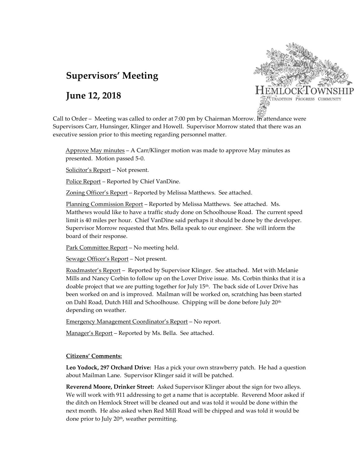# **Supervisors' Meeting**

## **June 12, 2018**



Call to Order – Meeting was called to order at 7:00 pm by Chairman Morrow. In attendance were Supervisors Carr, Hunsinger, Klinger and Howell. Supervisor Morrow stated that there was an executive session prior to this meeting regarding personnel matter.

Approve May minutes – A Carr/Klinger motion was made to approve May minutes as presented. Motion passed 5-0.

Solicitor's Report – Not present.

Police Report – Reported by Chief VanDine.

Zoning Officer's Report – Reported by Melissa Matthews. See attached.

Planning Commission Report – Reported by Melissa Matthews. See attached. Ms. Matthews would like to have a traffic study done on Schoolhouse Road. The current speed limit is 40 miles per hour. Chief VanDine said perhaps it should be done by the developer. Supervisor Morrow requested that Mrs. Bella speak to our engineer. She will inform the board of their response.

Park Committee Report – No meeting held.

Sewage Officer's Report – Not present.

Roadmaster's Report – Reported by Supervisor Klinger. See attached. Met with Melanie Mills and Nancy Corbin to follow up on the Lover Drive issue. Ms. Corbin thinks that it is a doable project that we are putting together for July  $15<sup>th</sup>$ . The back side of Lover Drive has been worked on and is improved. Mailman will be worked on, scratching has been started on Dahl Road, Dutch Hill and Schoolhouse. Chipping will be done before July 20<sup>th</sup> depending on weather.

Emergency Management Coordinator's Report – No report.

Manager's Report - Reported by Ms. Bella. See attached.

### **Citizens' Comments:**

**Leo Yodock, 297 Orchard Drive:** Has a pick your own strawberry patch. He had a question about Mailman Lane. Supervisor Klinger said it will be patched.

**Reverend Moore, Drinker Street:** Asked Supervisor Klinger about the sign for two alleys. We will work with 911 addressing to get a name that is acceptable. Reverend Moor asked if the ditch on Hemlock Street will be cleaned out and was told it would be done within the next month. He also asked when Red Mill Road will be chipped and was told it would be done prior to July 20th, weather permitting.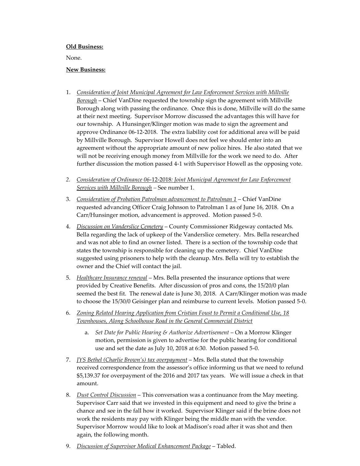#### **Old Business:**

None.

#### **New Business:**

- 1. *Consideration of Joint Municipal Agreement for Law Enforcement Services with Millville Borough* – Chief VanDine requested the township sign the agreement with Millville Borough along with passing the ordinance. Once this is done, Millville will do the same at their next meeting. Supervisor Morrow discussed the advantages this will have for our township. A Hunsinger/Klinger motion was made to sign the agreement and approve Ordinance 06-12-2018. The extra liability cost for additional area will be paid by Millville Borough. Supervisor Howell does not feel we should enter into an agreement without the appropriate amount of new police hires. He also stated that we will not be receiving enough money from Millville for the work we need to do. After further discussion the motion passed 4-1 with Supervisor Howell as the opposing vote.
- *2. Consideration of Ordinance 06*-12-2018*: Joint Municipal Agreement for Law Enforcement Services with Millville Borough –* See number 1.
- 3. *Consideration of Probation Patrolman advancement to Patrolman 1* Chief VanDine requested advancing Officer Craig Johnson to Patrolman 1 as of June 16, 2018. On a Carr/Hunsinger motion, advancement is approved. Motion passed 5-0.
- 4. *Discussion on Vanderslice Cemetery* County Commissioner Ridgeway contacted Ms. Bella regarding the lack of upkeep of the Vanderslice cemetery. Mrs. Bella researched and was not able to find an owner listed. There is a section of the township code that states the township is responsible for cleaning up the cemetery. Chief VanDine suggested using prisoners to help with the cleanup. Mrs. Bella will try to establish the owner and the Chief will contact the jail.
- 5. *Healthcare Insurance renewal* Mrs. Bella presented the insurance options that were provided by Creative Benefits. After discussion of pros and cons, the 15/20/0 plan seemed the best fit. The renewal date is June 30, 2018. A Carr/Klinger motion was made to choose the 15/30/0 Geisinger plan and reimburse to current levels. Motion passed 5-0.
- 6. *Zoning Related Hearing Application from Cristian Foust to Permit a Conditional Use, 18 Townhouses, Along Schoolhouse Road in the General Commercial District*
	- a. *Set Date for Public Hearing & Authorize Advertisement* On a Morrow Klinger motion, permission is given to advertise for the public hearing for conditional use and set the date as July 10, 2018 at 6:30. Motion passed 5-0.
- 7. *JYS Bethel (Charlie Brown's) tax overpayment* Mrs. Bella stated that the township received correspondence from the assessor's office informing us that we need to refund \$5,139.37 for overpayment of the 2016 and 2017 tax years. We will issue a check in that amount.
- 8. *Dust Control Discussion* This conversation was a continuance from the May meeting. Supervisor Carr said that we invested in this equipment and need to give the brine a chance and see in the fall how it worked. Supervisor Klinger said if the brine does not work the residents may pay with Klinger being the middle man with the vendor. Supervisor Morrow would like to look at Madison's road after it was shot and then again, the following month.
- 9. *Discussion of Supervisor Medical Enhancement Package* Tabled.